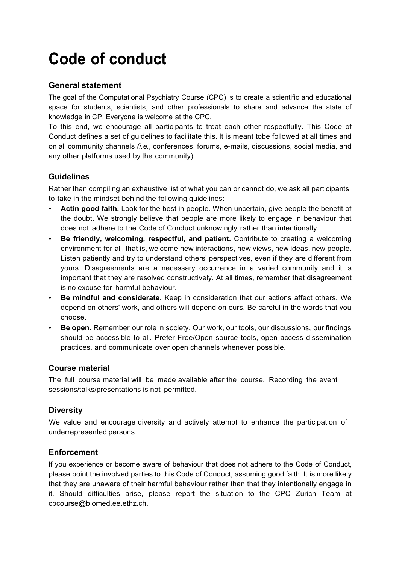# **Code of conduct**

### **General statement**

The goal of the Computational Psychiatry Course (CPC) is to create a scientific and educational space for students, scientists, and other professionals to share and advance the state of knowledge in CP. Everyone is welcome at the CPC.

To this end, we encourage all participants to treat each other respectfully. This Code of Conduct defines a set of guidelines to facilitate this. lt is meant tobe followed at all times and on all community channels *(i.e.,* conferences, forums, e-mails, discussions, social media, and any other platforms used by the community).

### **Guidelines**

Rather than compiling an exhaustive list of what you can or cannot do, we ask all participants to take in the mindset behind the following guidelines:

- **Actin good faith.** Look for the best in people. When uncertain, give people the benefit of the doubt. We strongly believe that people are more likely to engage in behaviour that does not adhere to the Code of Conduct unknowingly rather than intentionally.
- **Be friendly, welcoming, respectful, and patient.** Contribute to creating a welcoming environment for all, that is, welcome new interactions, new views, new ideas, new people. Listen patiently and try to understand others' perspectives, even if they are different from yours. Disagreements are a necessary occurrence in a varied community and it is important that they are resolved constructively. At all times, remember that disagreement is no excuse for harmful behaviour.
- **Be mindful and considerate.** Keep in consideration that our actions affect others. We depend on others' work, and others will depend on ours. Be careful in the words that you choose.
- **Be open.** Remember our role in society. Our work, our tools, our discussions, our findings should be accessible to all. Prefer Free/Open source tools, open access dissemination practices, and communicate over open channels whenever possible.

#### **Course material**

The full course material will be made available after the course. Recording the event sessions/talks/presentations is not permitted.

## **Diversity**

We value and encourage diversity and actively attempt to enhance the participation of underrepresented persons.

## **Enforcement**

lf you experience or become aware of behaviour that does not adhere to the Code of Conduct, please point the involved parties to this Code of Conduct, assuming good faith. lt is more likely that they are unaware of their harmful behaviour rather than that they intentionally engage in it. Should difficulties arise, please report the situation to the CPC Zurich Team at [cpcourse@biomed.ee.ethz.ch.](mailto:cpcourse@biomed.ee.ethz.ch)